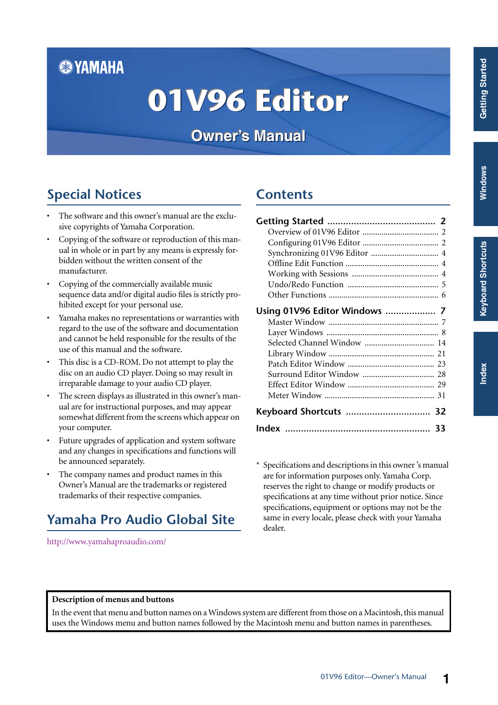# **& YAMAHA**

# **01V96 Editor 01V96 Editor 01V96 Editor**

**Owner's Manual Owner's Manual Owner's Manual**

# **Special Notices**

- The software and this owner's manual are the exclusive copyrights of Yamaha Corporation.
- Copying of the software or reproduction of this manual in whole or in part by any means is expressly forbidden without the written consent of the manufacturer.
- Copying of the commercially available music sequence data and/or digital audio files is strictly prohibited except for your personal use.
- Yamaha makes no representations or warranties with regard to the use of the software and documentation and cannot be held responsible for the results of the use of this manual and the software.
- This disc is a CD-ROM. Do not attempt to play the disc on an audio CD player. Doing so may result in irreparable damage to your audio CD player.
- The screen displays as illustrated in this owner's manual are for instructional purposes, and may appear somewhat different from the screens which appear on your computer.
- Future upgrades of application and system software and any changes in specifications and functions will be announced separately.
- The company names and product names in this Owner's Manual are the trademarks or registered trademarks of their respective companies.

# **Yamaha Pro Audio Global Site**

<span id="page-0-0"></span><http://www.yamahaproaudio.com/>

# **Contents**

| Using 01V96 Editor Windows  7 |  |
|-------------------------------|--|
|                               |  |
|                               |  |
| Selected Channel Window  14   |  |
|                               |  |
|                               |  |
|                               |  |
|                               |  |
|                               |  |
| Keyboard Shortcuts  32        |  |
|                               |  |

\* Specifications and descriptions in this owner 's manual are for information purposes only. Yamaha Corp. reserves the right to change or modify products or specifications at any time without prior notice. Since specifications, equipment or options may not be the same in every locale, please check with your Yamaha dealer.

#### **Description of menus and buttons**

In the event that menu and button names on a Windows system are different from those on a Macintosh, this manual uses the Windows menu and button names followed by the Macintosh menu and button names in parentheses.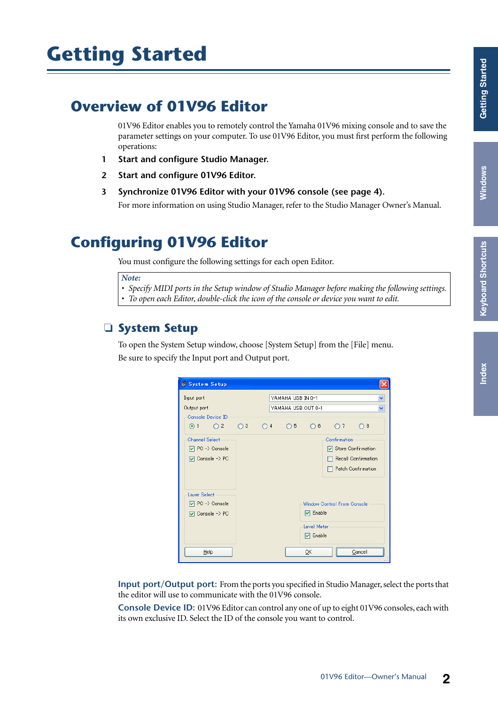# <span id="page-1-3"></span><span id="page-1-0"></span>**Getting Started**

# <span id="page-1-1"></span>**Overview of 01V96 Editor**

01V96 Editor enables you to remotely control the Yamaha 01V96 mixing console and to save the parameter settings on your computer. To use 01V96 Editor, you must first perform the following operations:

- **1 Start and configure Studio Manager.**
- **2 Start and configure 01V96 Editor.**
- **3 Synchronize 01V96 Editor with your 01V96 console (see [page 4\)](#page-3-0).**

For more information on using Studio Manager, refer to the Studio Manager Owner's Manual.

# <span id="page-1-4"></span><span id="page-1-2"></span>**Configuring 01V96 Editor**

You must configure the following settings for each open Editor.

#### *Note:*

*• Specify MIDI ports in the Setup window of Studio Manager before making the following settings. • To open each Editor, double-click the icon of the console or device you want to edit.*

#### <span id="page-1-7"></span>❏ **System Setup**

To open the System Setup window, choose [System Setup] from the [File] menu. Be sure to specify the Input port and Output port.

| System Setup                                                                    |              |              |                   |                                                                |                                                                   |                            |   |
|---------------------------------------------------------------------------------|--------------|--------------|-------------------|----------------------------------------------------------------|-------------------------------------------------------------------|----------------------------|---|
| Input port<br>Output port                                                       |              |              | YAMAHA USB IN 0-1 | YAMAHA USB OUT 0-1                                             |                                                                   |                            | v |
| Console Device ID<br>$\odot$ 1<br>$\Omega$                                      | $\bigcirc$ 3 | $\bigcirc$ 4 | $\bigcirc$ 5      | $\bigcirc$ 6                                                   | $\bigcirc$ 7                                                      | $\bigcirc$ 8               |   |
| <b>Channel Select</b><br>$\boxed{\vee}$ PC -> Console<br>$\nabla$ Console -> PC |              |              |                   |                                                                | Confirmation<br>□ Store Confirmation<br><b>Patch Confirmation</b> | <b>Recall Confirmation</b> |   |
| Layer Select<br>$\boxed{\vee}$ PC -> Console<br><b>V</b> Console -> PC<br>Help  |              |              |                   | $\nabla$ Enable<br><b>Level Meter</b><br><b>▽</b> Enable<br>OΚ | Window Control From Console                                       | Cancel                     |   |

<span id="page-1-6"></span>**Input port/Output port:** From the ports you specified in Studio Manager, select the ports that the editor will use to communicate with the 01V96 console.

<span id="page-1-5"></span>**Console Device ID:** 01V96 Editor can control any one of up to eight 01V96 consoles, each with its own exclusive ID. Select the ID of the console you want to control.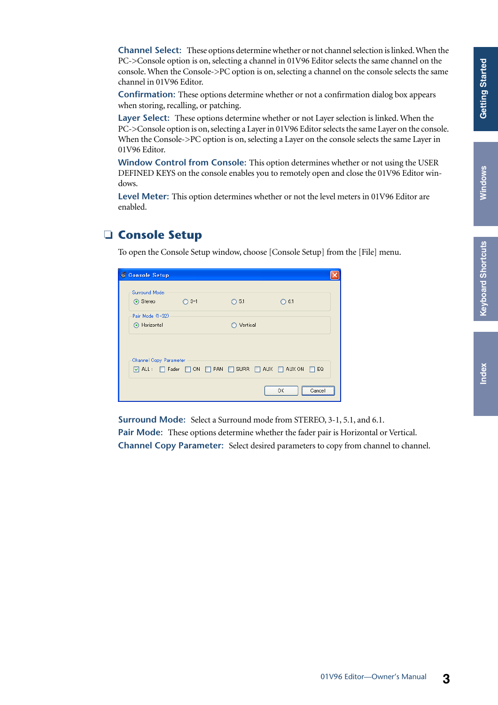<span id="page-2-8"></span><span id="page-2-4"></span><span id="page-2-2"></span>**Channel Select:** These options determine whether or not channel selection is linked. When the PC->Console option is on, selecting a channel in 01V96 Editor selects the same channel on the console. When the Console->PC option is on, selecting a channel on the console selects the same channel in 01V96 Editor.

<span id="page-2-3"></span>**Confirmation:** These options determine whether or not a confirmation dialog box appears when storing, recalling, or patching.

<span id="page-2-6"></span>**Layer Select:** These options determine whether or not Layer selection is linked. When the PC->Console option is on, selecting a Layer in 01V96 Editor selects the same Layer on the console. When the Console->PC option is on, selecting a Layer on the console selects the same Layer in 01V96 Editor.

<span id="page-2-9"></span>**Window Control from Console:** This option determines whether or not using the USER DEFINED KEYS on the console enables you to remotely open and close the 01V96 Editor windows.

<span id="page-2-7"></span>**Level Meter:** This option determines whether or not the level meters in 01V96 Editor are enabled.

#### <span id="page-2-5"></span><span id="page-2-0"></span>❏ **Console Setup**

To open the Console Setup window, choose [Console Setup] from the [File] menu.

| Console Setup                                                                      |        |                |                  |  |
|------------------------------------------------------------------------------------|--------|----------------|------------------|--|
| Surround Mode:                                                                     |        |                |                  |  |
| ⊙ Stereo                                                                           | $O3-1$ | $\bigcirc$ 5.1 | $\bigcirc$ 6.1   |  |
| Pair Mode (1-32)                                                                   |        |                |                  |  |
| Horizontal                                                                         |        | Vertical       |                  |  |
|                                                                                    |        |                |                  |  |
| Channel Copy Parameter                                                             |        |                |                  |  |
| $\Box$ ALL: $\Box$ Fader $\Box$ ON $\Box$ PAN $\Box$ SURR $\Box$ AUX $\Box$ AUX ON |        |                | $\Box$ EQ        |  |
|                                                                                    |        |                | <br>ОК<br>Cancel |  |

**Surround Mode:** Select a Surround mode from STEREO, 3-1, 5.1, and 6.1.

<span id="page-2-1"></span>**Pair Mode:** These options determine whether the fader pair is Horizontal or Vertical.

**Channel Copy Parameter:** Select desired parameters to copy from channel to channel.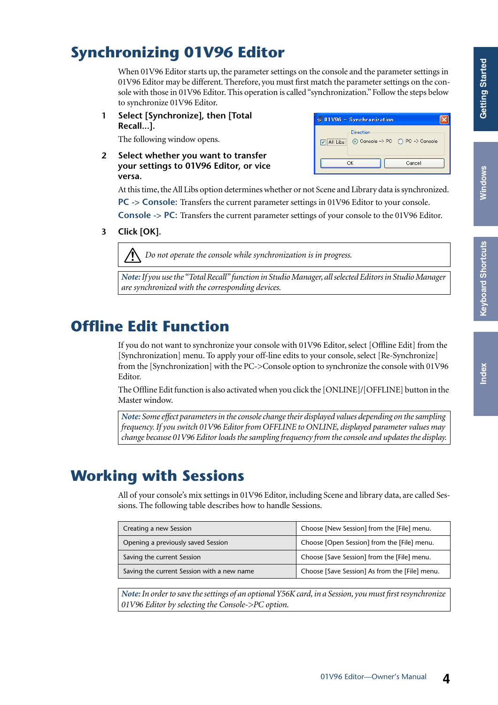# <span id="page-3-8"></span><span id="page-3-0"></span>**Synchronizing 01V96 Editor**

When 01V96 Editor starts up, the parameter settings on the console and the parameter settings in 01V96 Editor may be different. Therefore, you must first match the parameter settings on the console with those in 01V96 Editor. This operation is called "synchronization." Follow the steps below to synchronize 01V96 Editor.

**1 Select [Synchronize], then [Total Recall...].**

<span id="page-3-12"></span>The following window opens.

**2 Select whether you want to transfer your settings to 01V96 Editor, or vice versa.**

<span id="page-3-13"></span>01V96 - Synchronization lxl -Direction ☑ All Libs © Console -> PC O PC -> Console  $\overline{\alpha}$ Cancel

<span id="page-3-7"></span>At this time, the All Libs option determines whether or not Scene and Library data is synchronized. **PC -> Console:** Transfers the current parameter settings in 01V96 Editor to your console.

<span id="page-3-3"></span>**Console -> PC:** Transfers the current parameter settings of your console to the 01V96 Editor.

**3 Click [OK].**

*Do not operate the console while synchronization is in progress.*

*Note: If you use the "Total Recall" function in Studio Manager, all selected Editors in Studio Manager are synchronized with the corresponding devices.*

# <span id="page-3-5"></span><span id="page-3-1"></span>**Offline Edit Function**

<span id="page-3-11"></span>If you do not want to synchronize your console with 01V96 Editor, select [Offline Edit] from the [Synchronization] menu. To apply your off-line edits to your console, select [Re-Synchronize] from the [Synchronization] with the PC->Console option to synchronize the console with 01V96 Editor.

The Offline Edit function is also activated when you click the [ONLINE]/[OFFLINE] button in the Master window.

*Note: Some effect parameters in the console change their displayed values depending on the sampling frequency. If you switch 01V96 Editor from OFFLINE to ONLINE, displayed parameter values may change because 01V96 Editor loads the sampling frequency from the console and updates the display.*

# <span id="page-3-2"></span>**Working with Sessions**

All of your console's mix settings in 01V96 Editor, including Scene and library data, are called Sessions. The following table describes how to handle Sessions.

<span id="page-3-9"></span><span id="page-3-6"></span><span id="page-3-4"></span>

| Creating a new Session                     | Choose [New Session] from the [File] menu.     |
|--------------------------------------------|------------------------------------------------|
| Opening a previously saved Session         | Choose [Open Session] from the [File] menu.    |
| Saving the current Session                 | Choose [Save Session] from the [File] menu.    |
| Saving the current Session with a new name | Choose [Save Session] As from the [File] menu. |

<span id="page-3-14"></span><span id="page-3-10"></span>*Note: In order to save the settings of an optional Y56K card, in a Session, you must first resynchronize 01V96 Editor by selecting the Console->PC option.*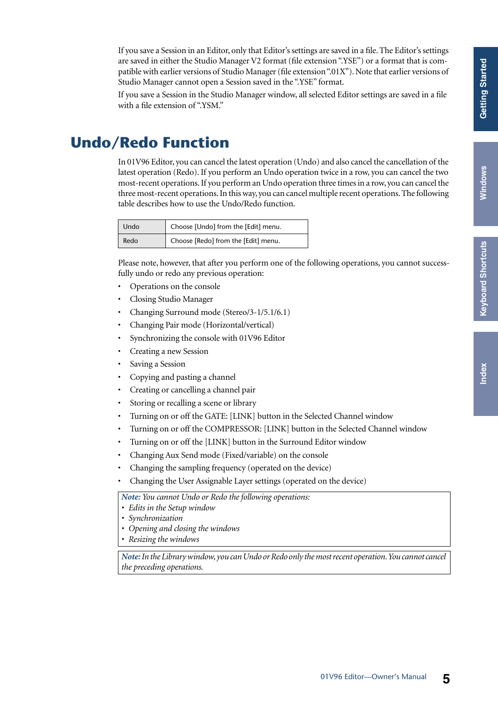If you save a Session in an Editor, only that Editor's settings are saved in a file. The Editor's settings are saved in either the Studio Manager V2 format (file extension ".YSE") or a format that is compatible with earlier versions of Studio Manager (file extension ".01X"). Note that earlier versions of Studio Manager cannot open a Session saved in the ".YSE" format.

If you save a Session in the Studio Manager window, all selected Editor settings are saved in a file with a file extension of ".YSM."

# <span id="page-4-0"></span>**Undo/Redo Function**

<span id="page-4-2"></span><span id="page-4-1"></span>In 01V96 Editor, you can cancel the latest operation (Undo) and also cancel the cancellation of the latest operation (Redo). If you perform an Undo operation twice in a row, you can cancel the two most-recent operations. If you perform an Undo operation three times in a row, you can cancel the three most-recent operations. In this way, you can cancel multiple recent operations. The following table describes how to use the Undo/Redo function.

| Undo | Choose [Undo] from the [Edit] menu. |
|------|-------------------------------------|
| Redo | Choose [Redo] from the [Edit] menu. |

Please note, however, that after you perform one of the following operations, you cannot successfully undo or redo any previous operation:

- Operations on the console
- Closing Studio Manager
- Changing Surround mode (Stereo/3-1/5.1/6.1)
- Changing Pair mode (Horizontal/vertical)
- Synchronizing the console with 01V96 Editor
- Creating a new Session
- Saving a Session
- Copying and pasting a channel
- Creating or cancelling a channel pair
- Storing or recalling a scene or library
- Turning on or off the GATE: [LINK] button in the Selected Channel window
- Turning on or off the COMPRESSOR: [LINK] button in the Selected Channel window
- Turning on or off the [LINK] button in the Surround Editor window
- Changing Aux Send mode (Fixed/variable) on the console
- Changing the sampling frequency (operated on the device)
- Changing the User Assignable Layer settings (operated on the device)

*Note: You cannot Undo or Redo the following operations:*

- *Edits in the Setup window*
- *Synchronization*
- *Opening and closing the windows*
- *Resizing the windows*

*Note: Inthe Library window, you can Undo or Redo only the most recent operation. You cannot cancel the preceding operations.*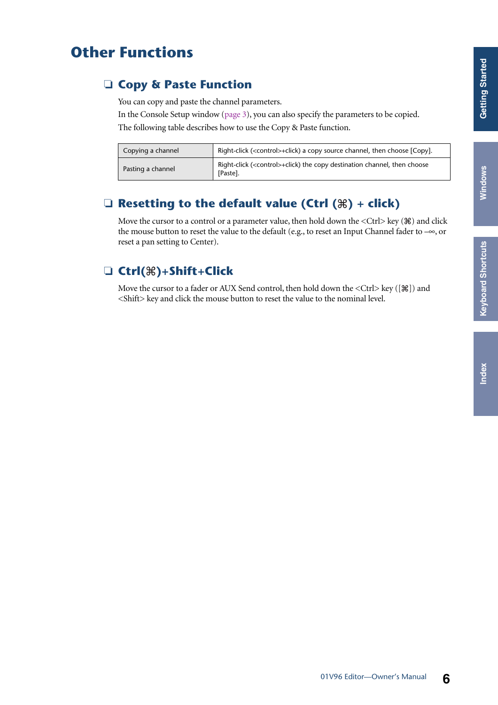# <span id="page-5-2"></span>**Keyboard Shortcuts [Keyboard Shortcuts](#page-31-1)**

# <span id="page-5-0"></span>**Other Functions**

### <span id="page-5-1"></span>❏ **Copy & Paste Function**

<span id="page-5-4"></span>You can copy and paste the channel parameters.

In the Console Setup window [\(page 3](#page-2-0)), you can also specify the parameters to be copied. The following table describes how to use the Copy & Paste function.

| Copying a channel | Right-click ( <control>+click) a copy source channel, then choose [Copy].</control>             |
|-------------------|-------------------------------------------------------------------------------------------------|
| Pasting a channel | Right-click ( <control>+click) the copy destination channel, then choose<br/>[Paste].</control> |

### ❏ **Resetting to the default value (Ctrl ( ) + click)**

Move the cursor to a control or a parameter value, then hold down the  $\langle$ Ctrl $\rangle$  key ( $\Re$ ) and click the mouse button to reset the value to the default (e.g., to reset an Input Channel fader to –∞, or reset a pan setting to Center).

### <span id="page-5-3"></span>❏ **Ctrl( )+Shift+Click**

Move the cursor to a fader or AUX Send control, then hold down the  $\langle \text{Ctrl}\rangle$  key ([ $\frac{100}{100}$ ]) and <Shift> key and click the mouse button to reset the value to the nominal level.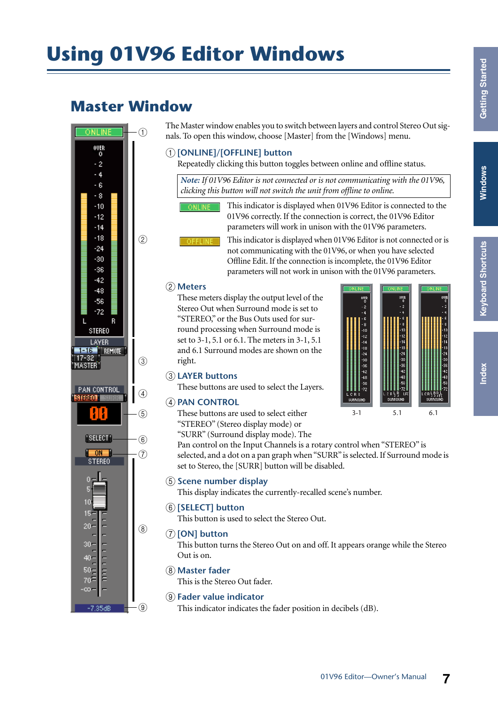# <span id="page-6-2"></span><span id="page-6-0"></span>**Using 01V96 Editor Windows**

# <span id="page-6-7"></span><span id="page-6-1"></span>**Master Window**



<span id="page-6-15"></span>The Master window enables you to switch between layers and control Stereo Out signals. To open this window, choose [Master] from the [Windows] menu.

#### <span id="page-6-11"></span>A **[ONLINE]/[OFFLINE] button**

Repeatedly clicking this button toggles between online and offline status.

*Note: If 01V96 Editor is not connected or is not communicating with the 01V96, clicking this button will not switch the unit from offline to online.*

This indicator is displayed when 01V96 Editor is connected to the 01V96 correctly. If the connection is correct, the 01V96 Editor parameters will work in unison with the 01V96 parameters.

<span id="page-6-9"></span>This indicator is displayed when 01V96 Editor is not connected or is not communicating with the 01V96, or when you have selected Offline Edit. If the connection is incomplete, the 01V96 Editor parameters will not work in unison with the 01V96 parameters.

#### <span id="page-6-8"></span>B **Meters**

These meters display the output level of the Stereo Out when Surround mode is set to "STEREO," or the Bus Outs used for surround processing when Surround mode is set to 3-1, 5.1 or 6.1. The meters in 3-1, 5.1 and 6.1 Surround modes are shown on the right.



#### <span id="page-6-5"></span>**(3) LAYER buttons**

<span id="page-6-12"></span><span id="page-6-3"></span>These buttons are used to select the Layers.

#### **A** PAN CONTROL

These buttons are used to select either "STEREO" (Stereo display mode) or "SURR" (Surround display mode). The

Pan control on the Input Channels is a rotary control when "STEREO" is

selected, and a dot on a pan graph when "SURR" is selected. If Surround mode is set to Stereo, the [SURR] button will be disabled.

#### <span id="page-6-13"></span>E **Scene number display**

<span id="page-6-14"></span>This display indicates the currently-recalled scene's number.

#### F **[SELECT] button**

<span id="page-6-10"></span>This button is used to select the Stereo Out.

#### G **[ON] button**

This button turns the Stereo Out on and off. It appears orange while the Stereo Out is on.

#### <span id="page-6-6"></span> $\circledR$  Master fader

<span id="page-6-4"></span>This is the Stereo Out fader.

#### I **Fader value indicator**

This indicator indicates the fader position in decibels (dB).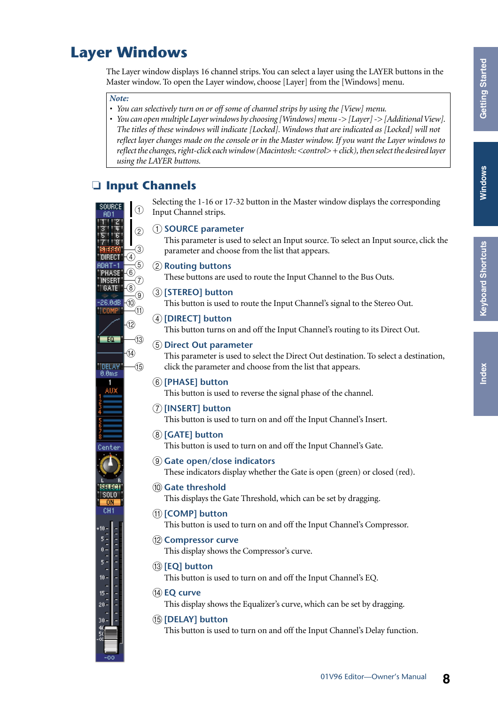# <span id="page-7-19"></span>**Keyboard Shortcuts [Keyboard Shortcuts](#page-31-0)**

# <span id="page-7-14"></span><span id="page-7-0"></span>**Layer Windows**

The Layer window displays 16 channel strips. You can select a layer using the LAYER buttons in the Master window. To open the Layer window, choose [Layer] from the [Windows] menu.

#### *Note:*

- *You can selectively turn on or off some of channel strips by using the [View] menu.*
- *You can open multiple Layer windows by choosing [Windows] menu -> [Layer] -> [Additional View]. The titles of these windows will indicate [Locked]. Windows that are indicated as [Locked] will not reflect layer changes made on the console or in the Master window. If you want the Layer windows to reflect the changes, right-click each window (Macintosh: <control> + click), then select the desired layer using the LAYER buttons.*

#### <span id="page-7-12"></span><span id="page-7-1"></span>❏ **Input Channels**

<span id="page-7-17"></span><span id="page-7-16"></span>Selecting the 1-16 or 17-32 button in the Master window displays the corresponding  $\bigcap$ Input Channel strips. A **SOURCE parameter**  $\Omega$ This parameter is used to select an Input source. To select an Input source, click the  $\underline{\hspace{1.5pt}}\begin{array}{c} \textcircled{\footnotesize{0}} \ \textcircled{\footnotesize{0}} \ \textcircled{\footnotesize{0}} \ \textcircled{\footnotesize{0}} \ \textcircled{\footnotesize{0}} \ \textcircled{\footnotesize{0}} \ \textcircled{\footnotesize{0}} \ \textcircled{\footnotesize{0}} \ \textcircled{\footnotesize{0}} \ \textcircled{\footnotesize{0}} \ \textcircled{\footnotesize{0}} \ \textcircled{\footnotesize{0}} \ \textcircled{\footnotesize{0}} \ \textcircled{\footnotesize{0}} \ \textcircled{\footnotesize{0}} \ \textcircled{\footnotesize{0}} \ \textcircled{\footnotesize{$ parameter and choose from the list that appears. **DIRECT** ANAT-1 B **Routing buttons PHASE** These buttons are used to route the Input Channel to the Bus Outs. INSERI GATE C **[STEREO] button** 26.0dB This button is used to route the Input Channel's signal to the Stereo Out. **COMP** D **[DIRECT] button**  $\circled{12}$ This button turns on and off the Input Channel's routing to its Direct Out.  $EQ$ -(13) E **Direct Out parameter**  $\widehat{A}$ This parameter is used to select the Direct Out destination. To select a destination,  $\overline{15}$ click the parameter and choose from the list that appears. F **[PHASE] button** This button is used to reverse the signal phase of the channel. G **[INSERT] button** This button is used to turn on and off the Input Channel's Insert. H **[GATE] button** This button is used to turn on and off the Input Channel's Gate. I **Gate open/close indicators** These indicators display whether the Gate is open (green) or closed (red). āana (10) Gate threshold SOL<sub>0</sub> This displays the Gate Threshold, which can be set by dragging. CH<sub>1</sub> **(1) [COMP] button** This button is used to turn on and off the Input Channel's Compressor. **(12) Compressor curve** This display shows the Compressor's curve. M **[EQ] button** This button is used to turn on and off the Input Channel's EQ. **(14) EQ curve** This display shows the Equalizer's curve, which can be set by dragging. O **[DELAY] button** This button is used to turn on and off the Input Channel's Delay function.

<span id="page-7-18"></span><span id="page-7-15"></span><span id="page-7-13"></span><span id="page-7-11"></span><span id="page-7-10"></span><span id="page-7-9"></span><span id="page-7-8"></span><span id="page-7-7"></span><span id="page-7-6"></span><span id="page-7-5"></span><span id="page-7-4"></span><span id="page-7-3"></span><span id="page-7-2"></span>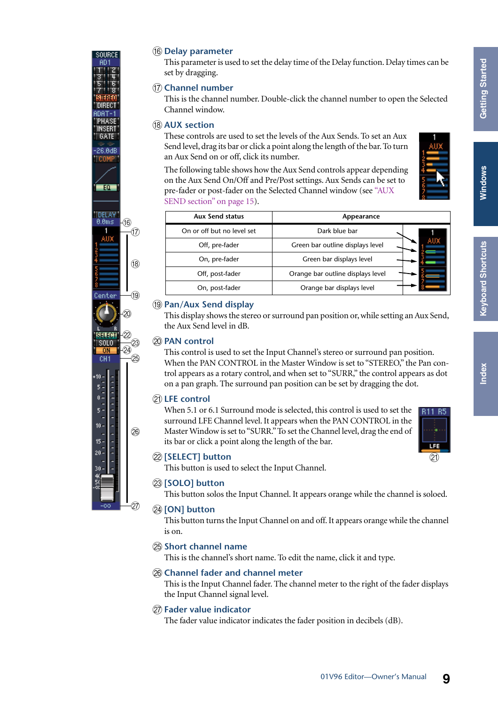#### <span id="page-8-4"></span>**(16) Delay parameter**

This parameter is used to set the delay time of the Delay function. Delay times can be set by dragging.

#### <span id="page-8-3"></span>Q **Channel number**

This is the channel number. Double-click the channel number to open the Selected Channel window.

#### <span id="page-8-0"></span>**(18) AUX section**

These controls are used to set the levels of the Aux Sends. To set an Aux Send level, drag its bar or click a point along the length of the bar. To turn an Aux Send on or off, click its number.

The following table shows how the Aux Send controls appear depending on the Aux Send On/Off and Pre/Post settings. Aux Sends can be set to pre-fader or post-fader on the Selected Channel window (see ["AUX](#page-14-0)  [SEND section" on page 15](#page-14-0)).



 $(2)$ 

LFE

| <b>Aux Send status</b>     | Appearance                        |  |  |
|----------------------------|-----------------------------------|--|--|
| On or off but no level set | Dark blue bar                     |  |  |
| Off, pre-fader             | Green bar outline displays level  |  |  |
| On, pre-fader              | Green bar displays level          |  |  |
| Off, post-fader            | Orange bar outline displays level |  |  |
| On, post-fader             | Orange bar displays level         |  |  |

#### <span id="page-8-9"></span>**(19) Pan/Aux Send display**

This display shows the stereo or surround pan position or, while setting an Aux Send, the Aux Send level in dB.

#### <span id="page-8-8"></span>**20 PAN control**

This control is used to set the Input Channel's stereo or surround pan position. When the PAN CONTROL in the Master Window is set to "STEREO," the Pan control appears as a rotary control, and when set to "SURR," the control appears as dot on a pan graph. The surround pan position can be set by dragging the dot.

#### <span id="page-8-6"></span>**(21) LFE control**

When 5.1 or 6.1 Surround mode is selected, this control is used to set the surround LFE Channel level. It appears when the PAN CONTROL in the Master Window is set to "SURR." To set the Channel level, drag the end of its bar or click a point along the length of the bar.



<span id="page-8-12"></span><span id="page-8-10"></span>This button is used to select the Input Channel.

#### W **[SOLO] button**

This button solos the Input Channel. It appears orange while the channel is soloed.

#### 24 **[ON] button**

<span id="page-8-7"></span>This button turns the Input Channel on and off. It appears orange while the channel is on.

#### <span id="page-8-11"></span>**25 Short channel name**

<span id="page-8-2"></span><span id="page-8-1"></span>This is the channel's short name. To edit the name, click it and type.

#### $\circ$  **Channel fader and channel meter**

This is the Input Channel fader. The channel meter to the right of the fader displays the Input Channel signal level.

#### <span id="page-8-5"></span> $(27)$  Fader value indicator

The fader value indicator indicates the fader position in decibels (dB).



aning

AD.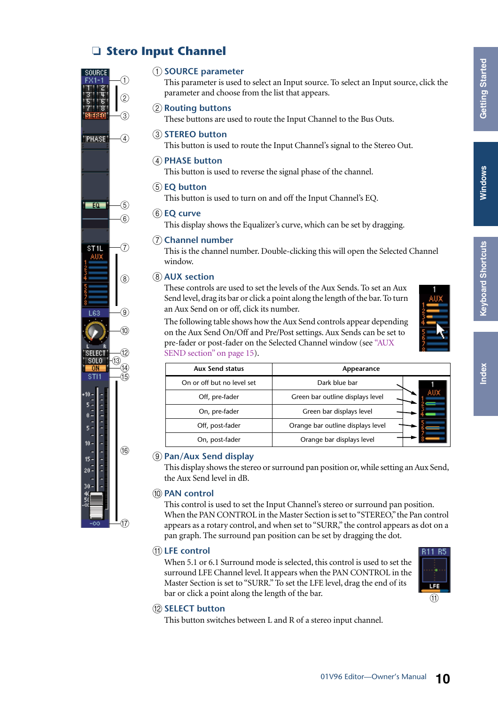### ❏ **Stero Input Channel**



#### <span id="page-9-10"></span>A **SOURCE parameter**

This parameter is used to select an Input source. To select an Input source, click the parameter and choose from the list that appears.

#### <span id="page-9-8"></span>B **Routing buttons**

<span id="page-9-11"></span>These buttons are used to route the Input Channel to the Bus Outs.

#### **(3) STEREO button**

<span id="page-9-7"></span>This button is used to route the Input Channel's signal to the Stereo Out.

#### **(4) PHASE button**

<span id="page-9-2"></span>This button is used to reverse the signal phase of the channel.

#### $(5)$  **EQ button**

<span id="page-9-3"></span>This button is used to turn on and off the Input Channel's EQ.

#### (6) **EQ curve**

<span id="page-9-1"></span>This display shows the Equalizer's curve, which can be set by dragging.

#### G **Channel number**

This is the channel number. Double-clicking this will open the Selected Channel window.

#### <span id="page-9-0"></span> $\circ$  **AUX** section

These controls are used to set the levels of the Aux Sends. To set an Aux Send level, drag its bar or click a point along the length of the bar. To turn an Aux Send on or off, click its number.

The following table shows how the Aux Send controls appear depending on the Aux Send On/Off and Pre/Post settings. Aux Sends can be set to pre-fader or post-fader on the Selected Channel window (see ["AUX](#page-14-0)  [SEND section" on page 15](#page-14-0)).

| $\frac{1}{15}$           | <b>Aux Send status</b>     | Appearance                        |  |  |
|--------------------------|----------------------------|-----------------------------------|--|--|
|                          | On or off but no level set | Dark blue bar                     |  |  |
|                          | Off, pre-fader             | Green bar outline displays level  |  |  |
|                          | On, pre-fader              | Green bar displays level          |  |  |
|                          | Off, post-fader            | Orange bar outline displays level |  |  |
| $\overline{\phantom{0}}$ | On, post-fader             | Orange bar displays level         |  |  |

#### <span id="page-9-6"></span>I **Pan/Aux Send display**

This display shows the stereo or surround pan position or, while setting an Aux Send, the Aux Send level in dB.

#### <span id="page-9-5"></span>**(10) PAN control**

This control is used to set the Input Channel's stereo or surround pan position. When the PAN CONTROL in the Master Section is set to "STEREO," the Pan control appears as a rotary control, and when set to "SURR," the control appears as dot on a pan graph. The surround pan position can be set by dragging the dot.

#### <span id="page-9-4"></span>**(1)** LFE control

When 5.1 or 6.1 Surround mode is selected, this control is used to set the surround LFE Channel level. It appears when the PAN CONTROL in the Master Section is set to "SURR." To set the LFE level, drag the end of its bar or click a point along the length of the bar.

<span id="page-9-9"></span>

This button switches between L and R of a stereo input channel.



 $\textcircled{f}$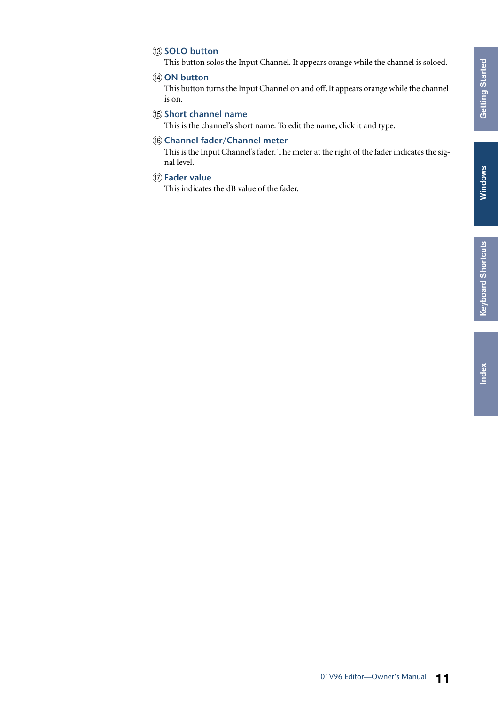# **Keyboard Shortcuts [Keyboard Shortcuts](#page-31-0)**

#### <span id="page-10-4"></span>**(13) SOLO button**

<span id="page-10-2"></span>This button solos the Input Channel. It appears orange while the channel is soloed.

#### **(14) ON button**

This button turns the Input Channel on and off. It appears orange while the channel is on.

#### <span id="page-10-3"></span>O **Short channel name**

<span id="page-10-1"></span><span id="page-10-0"></span>This is the channel's short name. To edit the name, click it and type.

#### **(16) Channel fader/Channel meter**

This is the Input Channel's fader. The meter at the right of the fader indicates the signal level.

#### Q **Fader value**

This indicates the dB value of the fader.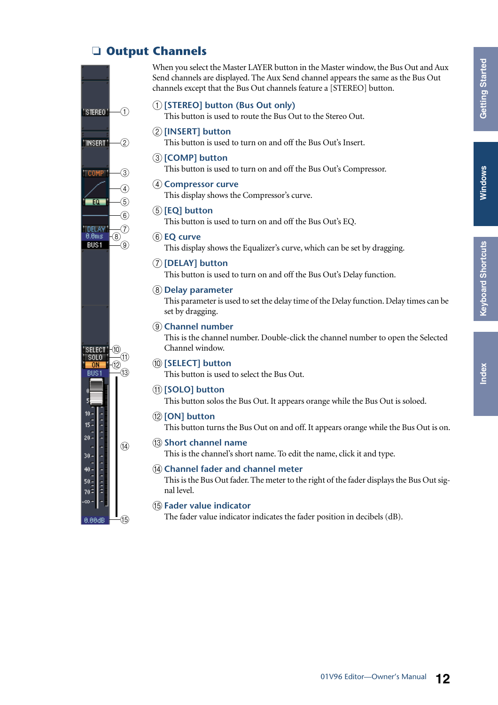# Windows

# ndex

### <span id="page-11-14"></span>❏ **Output Channels**

<span id="page-11-0"></span>"STEREO"  $(1)$  $\overline{2}$ "INSERT"  $\odot$ **COMP**  $\widehat{A}$  $-60 \sqrt{5}$  $\widehat{6}$ **DELAY**  $0.0<sub>ms</sub>$  $\overline{6}$ **BUS1**  $\sqrt{9}$ SELECT  $(10)$ SOLO<sup>-</sup>  $\widehat{\mathcal{H}}$  $\circled{12}$ -nu  $RUS1$  $-(3)$  $10<sup>1</sup>$  $15 20 \overline{14}$ ÷  $30 -$ **THEFT FR**  $40 50 70$ ő.  $\widehat{\mathfrak{a}}$ 

<span id="page-11-12"></span>When you select the Master LAYER button in the Master window, the Bus Out and Aux Send channels are displayed. The Aux Send channel appears the same as the Bus Out channels except that the Bus Out channels feature a [STEREO] button.

#### A **[STEREO] button (Bus Out only)**

<span id="page-11-18"></span><span id="page-11-11"></span>This button is used to route the Bus Out to the Stereo Out.

#### B **[INSERT] button**

<span id="page-11-4"></span>This button is used to turn on and off the Bus Out's Insert.

#### C **[COMP] button**

This button is used to turn on and off the Bus Out's Compressor.

#### **A** Compressor curve

<span id="page-11-8"></span><span id="page-11-5"></span>This display shows the Compressor's curve.

#### E **[EQ] button**

<span id="page-11-9"></span>This button is used to turn on and off the Bus Out's EQ.

#### **(6) EQ** curve

<span id="page-11-6"></span>This display shows the Equalizer's curve, which can be set by dragging.

#### G **[DELAY] button** This button is used to turn on and off the Bus Out's Delay function.

<span id="page-11-7"></span>H **Delay parameter**

This parameter is used to set the delay time of the Delay function. Delay times can be set by dragging.

#### <span id="page-11-3"></span>I **Channel number**

<span id="page-11-15"></span>This is the channel number. Double-click the channel number to open the Selected Channel window.

#### **(10) <b>[SELECT]** button

This button is used to select the Bus Out.

#### K **[SOLO] button**

<span id="page-11-17"></span><span id="page-11-13"></span>This button solos the Bus Out. It appears orange while the Bus Out is soloed.

#### L **[ON] button**

<span id="page-11-16"></span>This button turns the Bus Out on and off. It appears orange while the Bus Out is on.

#### M **Short channel name**

<span id="page-11-1"></span>This is the channel's short name. To edit the name, click it and type.

#### N **Channel fader and channel meter**

<span id="page-11-2"></span>This is the Bus Out fader. The meter to the right of the fader displays the Bus Out signal level.

#### <span id="page-11-10"></span>O **Fader value indicator**

The fader value indicator indicates the fader position in decibels (dB).



**B BBdB**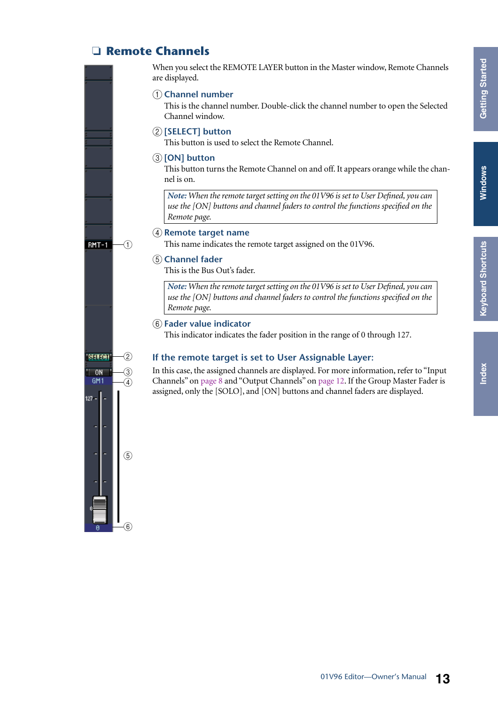# <span id="page-12-10"></span>**[Index](#page-32-1) Windows Keyboard Shortcuts [Keyboard Shortcuts](#page-31-0)**

### <span id="page-12-6"></span>❏ **Remote Channels**

<span id="page-12-4"></span>When you select the REMOTE LAYER button in the Master window, Remote Channels are displayed.

#### <span id="page-12-1"></span>A **Channel number**

<span id="page-12-8"></span>This is the channel number. Double-click the channel number to open the Selected Channel window.

#### B **[SELECT] button**

<span id="page-12-5"></span>This button is used to select the Remote Channel.

#### C **[ON] button**

This button turns the Remote Channel on and off. It appears orange while the channel is on.

*Note: When the remote target setting on the 01V96 is set to User Defined, you can use the [ON] buttons and channel faders to control the functions specified on the Remote page.*

#### <span id="page-12-7"></span>D **Remote target name**

<span id="page-12-0"></span>This name indicates the remote target assigned on the 01V96.

#### E **Channel fader**

This is the Bus Out's fader.

*Note: When the remote target setting on the 01V96 is set to User Defined, you can use the [ON] buttons and channel faders to control the functions specified on the Remote page.*

#### <span id="page-12-2"></span> $(6)$  **Fader value indicator**

<span id="page-12-9"></span><span id="page-12-3"></span>This indicator indicates the fader position in the range of 0 through 127.

#### **If the remote target is set to User Assignable Layer:**

In this case, the assigned channels are displayed. For more information, refer to "Input Channels" on [page 8](#page-7-1) and "Output Channels" on [page 12](#page-11-0). If the Group Master Fader is assigned, only the [SOLO], and [ON] buttons and channel faders are displayed.



 $\bigcap$ 

RMT-1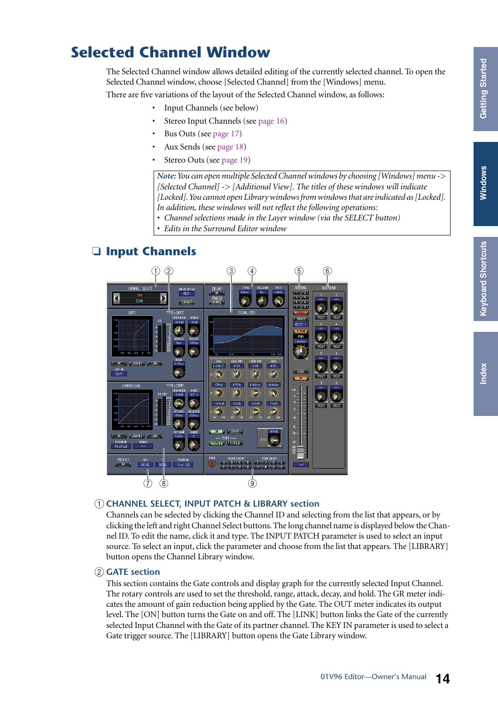# <span id="page-13-4"></span><span id="page-13-0"></span>**Selected Channel Window**

The Selected Channel window allows detailed editing of the currently selected channel. To open the Selected Channel window, choose [Selected Channel] from the [Windows] menu.

There are five variations of the layout of the Selected Channel window, as follows:

- Input Channels (see below)
- Stereo Input Channels (see [page 16\)](#page-15-0)
- Bus Outs (see [page 17](#page-16-0))
- Aux Sends (see [page 18\)](#page-17-0)
- Stereo Outs (see [page 19\)](#page-18-0)

*Note: You can open multiple Selected Channel windows by choosing [Windows] menu -> [Selected Channel] -> [Additional View]. The titles of these windows will indicate [Locked]. You cannot open Library windows from windows that are indicated as [Locked]. In addition, these windows will not reflect the following operations:*

*• Channel selections made in the Layer window (via the SELECT button)*

*• Edits in the Surround Editor window*

### <span id="page-13-3"></span>❏ **Input Channels**



#### <span id="page-13-1"></span>A **CHANNEL SELECT, INPUT PATCH & LIBRARY section**

Channels can be selected by clicking the Channel ID and selecting from the list that appears, or by clicking the left and right Channel Select buttons. The long channel name is displayed below the Channel ID. To edit the name, click it and type. The INPUT PATCH parameter is used to select an input source. To select an input, click the parameter and choose from the list that appears. The [LIBRARY] button opens the Channel Library window.

#### <span id="page-13-2"></span>B **GATE section**

This section contains the Gate controls and display graph for the currently selected Input Channel. The rotary controls are used to set the threshold, range, attack, decay, and hold. The GR meter indicates the amount of gain reduction being applied by the Gate. The OUT meter indicates its output level. The [ON] button turns the Gate on and off. The [LINK] button links the Gate of the currently selected Input Channel with the Gate of its partner channel. The KEY IN parameter is used to select a Gate trigger source. The [LIBRARY] button opens the Gate Library window.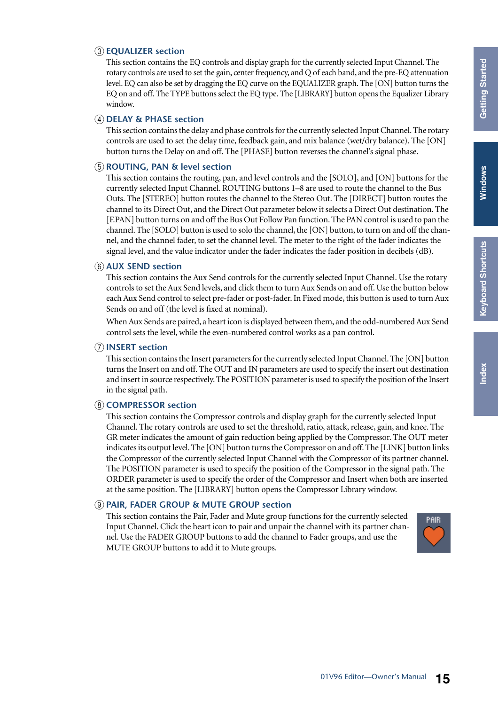#### <span id="page-14-6"></span><span id="page-14-1"></span>C **EQUALIZER section**

This section contains the EQ controls and display graph for the currently selected Input Channel. The rotary controls are used to set the gain, center frequency, and Q of each band, and the pre-EQ attenuation level. EQ can also be set by dragging the EQ curve on the EQUALIZER graph. The [ON] button turns the EQ on and off. The TYPE buttons select the EQ type. The [LIBRARY] button opens the Equalizer Library window.

#### <span id="page-14-5"></span>D **DELAY & PHASE section**

This section contains the delay and phase controls for the currently selected Input Channel. The rotary controls are used to set the delay time, feedback gain, and mix balance (wet/dry balance). The [ON] button turns the Delay on and off. The [PHASE] button reverses the channel's signal phase.

#### <span id="page-14-10"></span>E **ROUTING, PAN & level section**

This section contains the routing, pan, and level controls and the [SOLO], and [ON] buttons for the currently selected Input Channel. ROUTING buttons 1–8 are used to route the channel to the Bus Outs. The [STEREO] button routes the channel to the Stereo Out. The [DIRECT] button routes the channel to its Direct Out, and the Direct Out parameter below it selects a Direct Out destination. The [F.PAN] button turns on and off the Bus Out Follow Pan function. The PAN control is used to pan the channel. The [SOLO] button is used to solo the channel, the [ON] button, to turn on and off the channel, and the channel fader, to set the channel level. The meter to the right of the fader indicates the signal level, and the value indicator under the fader indicates the fader position in decibels (dB).

#### <span id="page-14-3"></span><span id="page-14-0"></span> $\circ$  **AUX SEND section**

This section contains the Aux Send controls for the currently selected Input Channel. Use the rotary controls to set the Aux Send levels, and click them to turn Aux Sends on and off. Use the button below each Aux Send control to select pre-fader or post-fader. In Fixed mode, this button is used to turn Aux Sends on and off (the level is fixed at nominal).

When Aux Sends are paired, a heart icon is displayed between them, and the odd-numbered Aux Send control sets the level, while the even-numbered control works as a pan control.

#### <span id="page-14-9"></span>G **INSERT section**

This section contains the Insert parameters for the currently selected Input Channel. The [ON] button turns the Insert on and off. The OUT and IN parameters are used to specify the insert out destination and insert in source respectively. The POSITION parameter is used to specify the position of the Insert in the signal path.

#### <span id="page-14-4"></span><span id="page-14-2"></span>**(8) COMPRESSOR section**

This section contains the Compressor controls and display graph for the currently selected Input Channel. The rotary controls are used to set the threshold, ratio, attack, release, gain, and knee. The GR meter indicates the amount of gain reduction being applied by the Compressor. The OUT meter indicates its output level. The [ON] button turns the Compressor on and off. The [LINK] button links the Compressor of the currently selected Input Channel with the Compressor of its partner channel. The POSITION parameter is used to specify the position of the Compressor in the signal path. The ORDER parameter is used to specify the order of the Compressor and Insert when both are inserted at the same position. The [LIBRARY] button opens the Compressor Library window.

#### <span id="page-14-7"></span>I **PAIR, FADER GROUP & MUTE GROUP section**

<span id="page-14-11"></span><span id="page-14-8"></span>This section contains the Pair, Fader and Mute group functions for the currently selected Input Channel. Click the heart icon to pair and unpair the channel with its partner channel. Use the FADER GROUP buttons to add the channel to Fader groups, and use the MUTE GROUP buttons to add it to Mute groups.

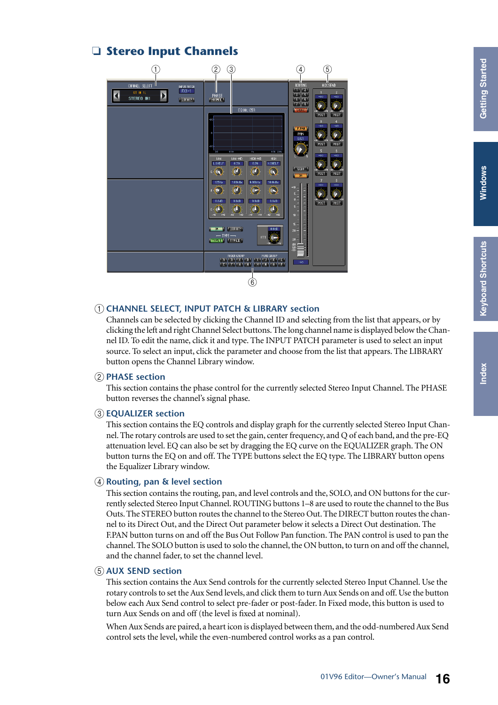### <span id="page-15-0"></span>❏ **Stereo Input Channels**

<span id="page-15-7"></span>

#### <span id="page-15-3"></span>A **CHANNEL SELECT, INPUT PATCH & LIBRARY section**

Channels can be selected by clicking the Channel ID and selecting from the list that appears, or by clicking the left and right Channel Select buttons. The long channel name is displayed below the Channel ID. To edit the name, click it and type. The INPUT PATCH parameter is used to select an input source. To select an input, click the parameter and choose from the list that appears. The LIBRARY button opens the Channel Library window.

#### <span id="page-15-6"></span>B **PHASE section**

This section contains the phase control for the currently selected Stereo Input Channel. The PHASE button reverses the channel's signal phase.

#### <span id="page-15-4"></span>C **EQUALIZER section**

<span id="page-15-8"></span><span id="page-15-5"></span>This section contains the EQ controls and display graph for the currently selected Stereo Input Channel. The rotary controls are used to set the gain, center frequency, and Q of each band, and the pre-EQ attenuation level. EQ can also be set by dragging the EQ curve on the EQUALIZER graph. The ON button turns the EQ on and off. The TYPE buttons select the EQ type. The LIBRARY button opens the Equalizer Library window.

#### <span id="page-15-2"></span>D **Routing, pan & level section**

This section contains the routing, pan, and level controls and the, SOLO, and ON buttons for the currently selected Stereo Input Channel. ROUTING buttons 1–8 are used to route the channel to the Bus Outs. The STEREO button routes the channel to the Stereo Out. The DIRECT button routes the channel to its Direct Out, and the Direct Out parameter below it selects a Direct Out destination. The F.PAN button turns on and off the Bus Out Follow Pan function. The PAN control is used to pan the channel. The SOLO button is used to solo the channel, the ON button, to turn on and off the channel, and the channel fader, to set the channel level.

#### <span id="page-15-1"></span>E **AUX SEND section**

This section contains the Aux Send controls for the currently selected Stereo Input Channel. Use the rotary controls to set the Aux Send levels, and click them to turn Aux Sends on and off. Use the button below each Aux Send control to select pre-fader or post-fader. In Fixed mode, this button is used to turn Aux Sends on and off (the level is fixed at nominal).

When Aux Sends are paired, a heart icon is displayed between them, and the odd-numbered Aux Send control sets the level, while the even-numbered control works as a pan control.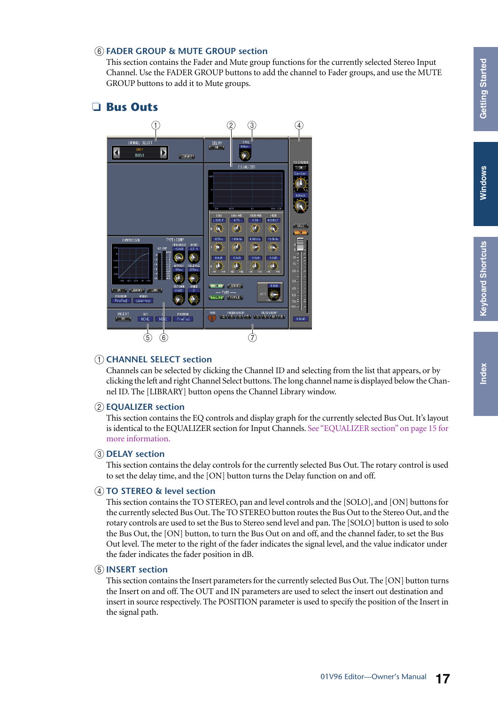# **[Index](#page-32-1)**

#### <span id="page-16-5"></span>F **FADER GROUP & MUTE GROUP section**

<span id="page-16-8"></span><span id="page-16-6"></span>This section contains the Fader and Mute group functions for the currently selected Stereo Input Channel. Use the FADER GROUP buttons to add the channel to Fader groups, and use the MUTE GROUP buttons to add it to Mute groups.

#### <span id="page-16-1"></span><span id="page-16-0"></span>❏ **Bus Outs**



#### <span id="page-16-2"></span>A **CHANNEL SELECT section**

Channels can be selected by clicking the Channel ID and selecting from the list that appears, or by clicking the left and right Channel Select buttons. The long channel name is displayed below the Channel ID. The [LIBRARY] button opens the Channel Library window.

#### <span id="page-16-4"></span>B **EQUALIZER section**

This section contains the EQ controls and display graph for the currently selected Bus Out. It's layout is identical to the EQUALIZER section for Input Channels. [See "EQUALIZER section" on page 15 for](#page-14-1)  [more information.](#page-14-1)

#### <span id="page-16-3"></span>**(3) DELAY section**

<span id="page-16-9"></span>This section contains the delay controls for the currently selected Bus Out. The rotary control is used to set the delay time, and the [ON] button turns the Delay function on and off.

#### <span id="page-16-10"></span>D **TO STEREO & level section**

This section contains the TO STEREO, pan and level controls and the [SOLO], and [ON] buttons for the currently selected Bus Out. The TO STEREO button routes the Bus Out to the Stereo Out, and the rotary controls are used to set the Bus to Stereo send level and pan. The [SOLO] button is used to solo the Bus Out, the [ON] button, to turn the Bus Out on and off, and the channel fader, to set the Bus Out level. The meter to the right of the fader indicates the signal level, and the value indicator under the fader indicates the fader position in dB.

#### <span id="page-16-7"></span>E **INSERT section**

This section contains the Insert parameters for the currently selected Bus Out. The [ON] button turns the Insert on and off. The OUT and IN parameters are used to select the insert out destination and insert in source respectively. The POSITION parameter is used to specify the position of the Insert in the signal path.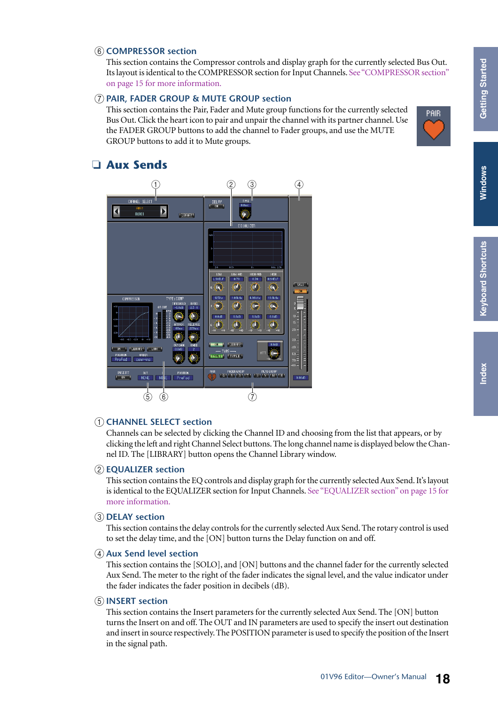PAIR

#### <span id="page-17-4"></span> $\left(6\right)$  **COMPRESSOR** section

This section contains the Compressor controls and display graph for the currently selected Bus Out. Its layout is identical to the COMPRESSOR section for Input Channels. [See "COMPRESSOR section"](#page-14-2)  [on page 15 for more information.](#page-14-2)

#### <span id="page-17-7"></span>G **PAIR, FADER GROUP & MUTE GROUP section**

<span id="page-17-10"></span><span id="page-17-8"></span>This section contains the Pair, Fader and Mute group functions for the currently selected Bus Out. Click the heart icon to pair and unpair the channel with its partner channel. Use the FADER GROUP buttons to add the channel to Fader groups, and use the MUTE GROUP buttons to add it to Mute groups.

### <span id="page-17-2"></span><span id="page-17-0"></span>❏ **Aux Sends**



#### <span id="page-17-3"></span>A **CHANNEL SELECT section**

Channels can be selected by clicking the Channel ID and choosing from the list that appears, or by clicking the left and right Channel Select buttons. The long channel name is displayed below the Channel ID. The [LIBRARY] button opens the Channel Library window.

#### <span id="page-17-6"></span>B **EQUALIZER section**

This section contains the EQ controls and display graph for the currently selected Aux Send. It's layout is identical to the EQUALIZER section for Input Channels. [See "EQUALIZER section" on page 15 for](#page-14-1)  [more information.](#page-14-1)

#### <span id="page-17-5"></span>**(3) DELAY section**

This section contains the delay controls for the currently selected Aux Send. The rotary control is used to set the delay time, and the [ON] button turns the Delay function on and off.

#### <span id="page-17-1"></span>**A** Aux Send level section

This section contains the [SOLO], and [ON] buttons and the channel fader for the currently selected Aux Send. The meter to the right of the fader indicates the signal level, and the value indicator under the fader indicates the fader position in decibels (dB).

#### <span id="page-17-9"></span>E **INSERT section**

This section contains the Insert parameters for the currently selected Aux Send. The [ON] button turns the Insert on and off. The OUT and IN parameters are used to specify the insert out destination and insert in source respectively. The POSITION parameter is used to specify the position of the Insert in the signal path.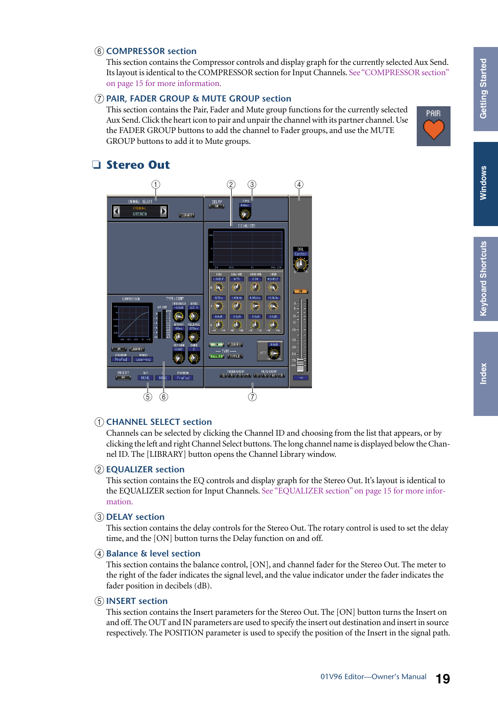PAIR

#### <span id="page-18-3"></span> $\left(6\right)$  **COMPRESSOR** section

This section contains the Compressor controls and display graph for the currently selected Aux Send. Its layout is identical to the COMPRESSOR section for Input Channels. [See "COMPRESSOR section"](#page-14-2)  [on page 15 for more information.](#page-14-2)

#### <span id="page-18-6"></span>G **PAIR, FADER GROUP & MUTE GROUP section**

<span id="page-18-9"></span><span id="page-18-7"></span>This section contains the Pair, Fader and Mute group functions for the currently selected Aux Send. Click the heart icon to pair and unpair the channel with its partner channel. Use the FADER GROUP buttons to add the channel to Fader groups, and use the MUTE GROUP buttons to add it to Mute groups.

### <span id="page-18-10"></span><span id="page-18-0"></span>❏ **Stereo Out**



#### <span id="page-18-2"></span>A **CHANNEL SELECT section**

Channels can be selected by clicking the Channel ID and choosing from the list that appears, or by clicking the left and right Channel Select buttons. The long channel name is displayed below the Channel ID. The [LIBRARY] button opens the Channel Library window.

#### <span id="page-18-5"></span>B **EQUALIZER section**

This section contains the EQ controls and display graph for the Stereo Out. It's layout is identical to the EQUALIZER section for Input Channels. [See "EQUALIZER section" on page 15 for more infor](#page-14-1)[mation.](#page-14-1)

#### <span id="page-18-4"></span>**(3) DELAY section**

This section contains the delay controls for the Stereo Out. The rotary control is used to set the delay time, and the [ON] button turns the Delay function on and off.

#### <span id="page-18-1"></span>D **Balance & level section**

This section contains the balance control, [ON], and channel fader for the Stereo Out. The meter to the right of the fader indicates the signal level, and the value indicator under the fader indicates the fader position in decibels (dB).

#### <span id="page-18-8"></span>E **INSERT section**

This section contains the Insert parameters for the Stereo Out. The [ON] button turns the Insert on and off. The OUT and IN parameters are used to specify the insert out destination and insert in source respectively. The POSITION parameter is used to specify the position of the Insert in the signal path.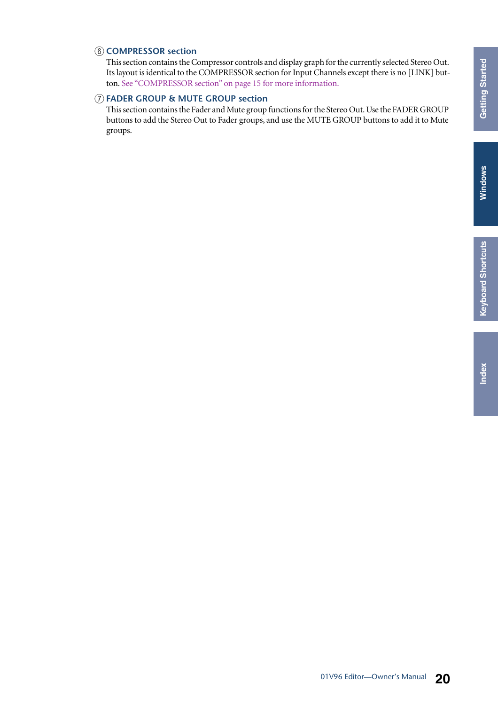#### <span id="page-19-0"></span> $\left(6\right)$  **COMPRESSOR** section

<span id="page-19-3"></span>This section contains the Compressor controls and display graph for the currently selected Stereo Out. Its layout is identical to the COMPRESSOR section for Input Channels except there is no [LINK] button. [See "COMPRESSOR section" on page 15 for more information.](#page-14-2)

#### <span id="page-19-1"></span>G **FADER GROUP & MUTE GROUP section**

<span id="page-19-2"></span>This section contains the Fader and Mute group functions for the Stereo Out. Use the FADER GROUP buttons to add the Stereo Out to Fader groups, and use the MUTE GROUP buttons to add it to Mute groups.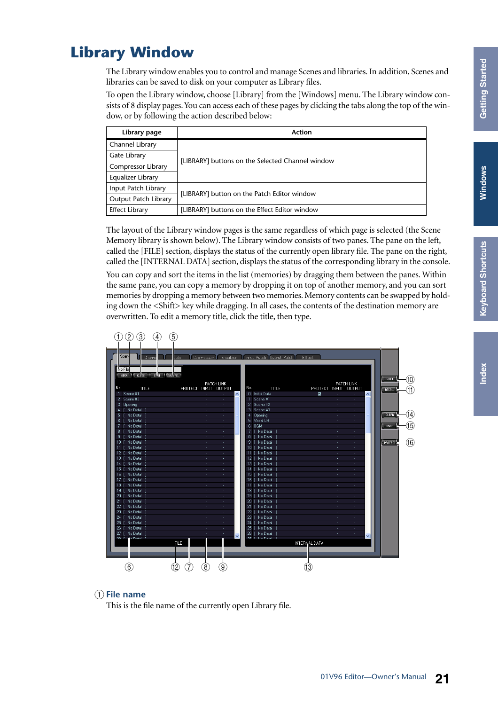# <span id="page-20-9"></span><span id="page-20-0"></span>**Library Window**

The Library window enables you to control and manage Scenes and libraries. In addition, Scenes and libraries can be saved to disk on your computer as Library files.

To open the Library window, choose [Library] from the [Windows] menu. The Library window consists of 8 display pages. You can access each of these pages by clicking the tabs along the top of the window, or by following the action described below:

<span id="page-20-6"></span><span id="page-20-4"></span><span id="page-20-2"></span><span id="page-20-1"></span>

| Library page                | Action                                           |
|-----------------------------|--------------------------------------------------|
| Channel Library             |                                                  |
| Gate Library                | [LIBRARY] buttons on the Selected Channel window |
| Compressor Library          |                                                  |
| Equalizer Library           |                                                  |
| Input Patch Library         | [LIBRARY] button on the Patch Editor window      |
| <b>Output Patch Library</b> |                                                  |
| <b>Effect Library</b>       | [LIBRARY] buttons on the Effect Editor window    |

<span id="page-20-8"></span><span id="page-20-7"></span><span id="page-20-3"></span>The layout of the Library window pages is the same regardless of which page is selected (the Scene Memory library is shown below). The Library window consists of two panes. The pane on the left, called the [FILE] section, displays the status of the currently open library file. The pane on the right, called the [INTERNAL DATA] section, displays the status of the corresponding library in the console.

You can copy and sort the items in the list (memories) by dragging them between the panes. Within the same pane, you can copy a memory by dropping it on top of another memory, and you can sort memories by dropping a memory between two memories. Memory contents can be swapped by holding down the <Shift> key while dragging. In all cases, the contents of the destination memory are overwritten. To edit a memory title, click the title, then type.



#### <span id="page-20-5"></span>A **File name**

This is the file name of the currently open Library file.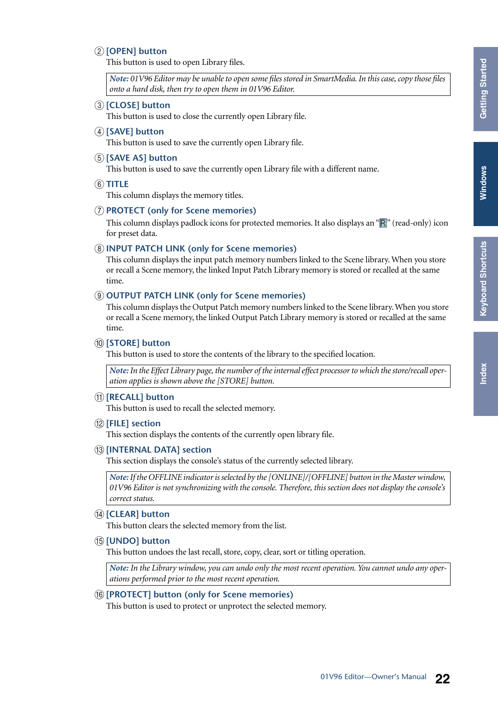#### B **[OPEN] button**

<span id="page-21-5"></span>This button is used to open Library files.

<span id="page-21-1"></span>*Note: 01V96 Editor may be unable to open some files stored in SmartMedia. In this case, copy those files onto a hard disk, then try to open them in 01V96 Editor.*

#### C **[CLOSE] button**

<span id="page-21-11"></span>This button is used to close the currently open Library file.

#### **(4) <b>[SAVE]** button

<span id="page-21-10"></span>This button is used to save the currently open Library file.

#### E **[SAVE AS] button**

<span id="page-21-13"></span>This button is used to save the currently open Library file with a different name.

#### $\left($  $\widehat{6}$  $\right)$  **TITLE**

<span id="page-21-7"></span>This column displays the memory titles.

#### G **PROTECT (only for Scene memories)**

This column displays padlock icons for protected memories. It also displays an " $\mathbb{R}$ " (read-only) icon for preset data.

#### <span id="page-21-3"></span> $(8)$  **INPUT PATCH LINK (only for Scene memories)**

This column displays the input patch memory numbers linked to the Scene library. When you store or recall a Scene memory, the linked Input Patch Library memory is stored or recalled at the same time.

#### <span id="page-21-6"></span>I **OUTPUT PATCH LINK (only for Scene memories)**

This column displays the Output Patch memory numbers linked to the Scene library. When you store or recall a Scene memory, the linked Output Patch Library memory is stored or recalled at the same time.

#### J **[STORE] button**

<span id="page-21-12"></span>This button is used to store the contents of the library to the specified location.

<span id="page-21-9"></span>*Note: In the Effect Library page, the number of the internal effect processor to which the store/recall operation applies is shown above the [STORE] button.*

#### K **[RECALL] button**

<span id="page-21-2"></span>This button is used to recall the selected memory.

#### L **[FILE] section**

<span id="page-21-4"></span>This section displays the contents of the currently open library file.

#### M **[INTERNAL DATA] section**

This section displays the console's status of the currently selected library.

*Note: If the OFFLINE indicator is selected by the [ONLINE]/[OFFLINE] button in the Master window, 01V96 Editor is not synchronizing with the console. Therefore, this section does not display the console's correct status.*

#### N **[CLEAR] button**

<span id="page-21-14"></span><span id="page-21-0"></span>This button clears the selected memory from the list.

#### O **[UNDO] button**

This button undoes the last recall, store, copy, clear, sort or titling operation.

<span id="page-21-8"></span>*Note: In the Library window, you can undo only the most recent operation. You cannot undo any operations performed prior to the most recent operation.*

#### P **[PROTECT] button (only for Scene memories)**

This button is used to protect or unprotect the selected memory.

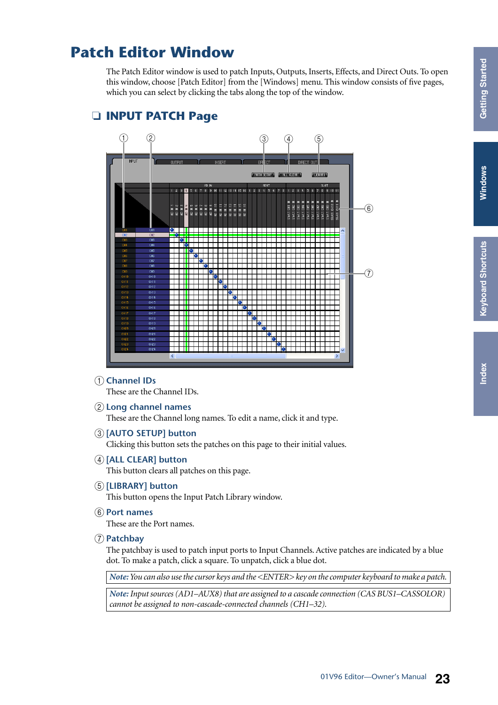# <span id="page-22-7"></span><span id="page-22-0"></span>**Patch Editor Window**

The Patch Editor window is used to patch Inputs, Outputs, Inserts, Effects, and Direct Outs. To open this window, choose [Patch Editor] from the [Windows] menu. This window consists of five pages, which you can select by clicking the tabs along the top of the window.



#### <span id="page-22-4"></span>❏ **INPUT PATCH Page**

#### <span id="page-22-3"></span>A **Channel IDs**

<span id="page-22-6"></span>These are the Channel IDs.

#### B **Long channel names**

<span id="page-22-2"></span>These are the Channel long names. To edit a name, click it and type.

C **[AUTO SETUP] button**

Clicking this button sets the patches on this page to their initial values.

**(4) [ALL CLEAR] button** 

<span id="page-22-5"></span><span id="page-22-1"></span>This button clears all patches on this page.

E **[LIBRARY] button**

<span id="page-22-9"></span>This button opens the Input Patch Library window.

**(6)** Port names

<span id="page-22-8"></span>These are the Port names.

G **Patchbay**

The patchbay is used to patch input ports to Input Channels. Active patches are indicated by a blue dot. To make a patch, click a square. To unpatch, click a blue dot.

*Note: You can also use the cursor keys and the <ENTER> key on the computer keyboard to make a patch.*

*Note: Input sources (AD1–AUX8) that are assigned to a cascade connection (CAS BUS1–CASSOLOR) cannot be assigned to non-cascade-connected channels (CH1–32).*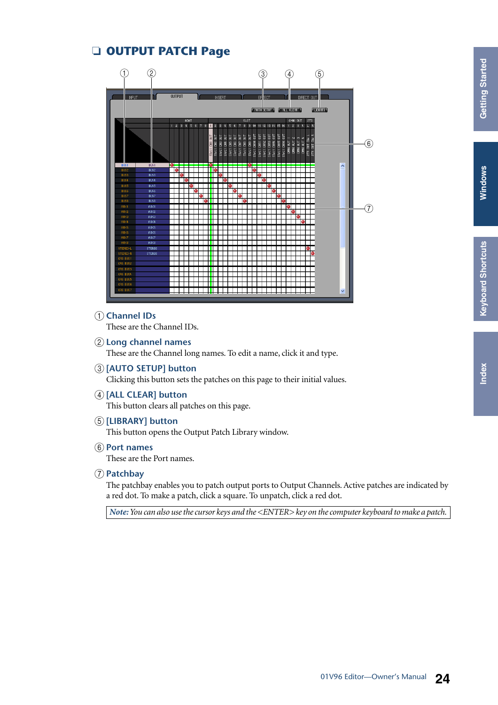# **[Index](#page-32-1)**

### <span id="page-23-5"></span>❏ **OUTPUT PATCH Page**



#### <span id="page-23-2"></span>A **Channel IDs**

<span id="page-23-4"></span><span id="page-23-1"></span>These are the Channel IDs.

- B **Long channel names** These are the Channel long names. To edit a name, click it and type.
- C **[AUTO SETUP] button**

<span id="page-23-0"></span>Clicking this button sets the patches on this page to their initial values.

- D **[ALL CLEAR] button** This button clears all patches on this page.
- E **[LIBRARY] button**

<span id="page-23-7"></span><span id="page-23-3"></span>This button opens the Output Patch Library window.

 $(6)$  Port names

<span id="page-23-6"></span>These are the Port names.

G **Patchbay**

The patchbay enables you to patch output ports to Output Channels. Active patches are indicated by a red dot. To make a patch, click a square. To unpatch, click a red dot.

*Note: You can also use the cursor keys and the <ENTER> key on the computer keyboard to make a patch.*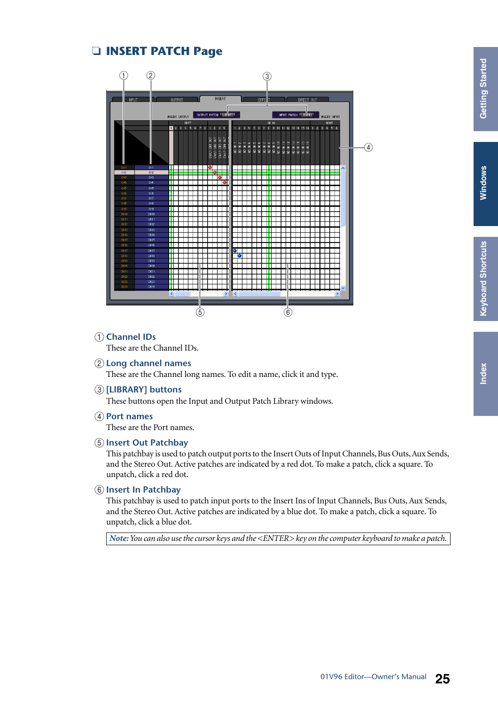# **[Index](#page-32-1)**

### <span id="page-24-3"></span>❏ **INSERT PATCH Page**



<span id="page-24-0"></span>A **Channel IDs**

<span id="page-24-5"></span>These are the Channel IDs.

B **Long channel names**

<span id="page-24-4"></span>These are the Channel long names. To edit a name, click it and type.

C **[LIBRARY] buttons**

<span id="page-24-6"></span>These buttons open the Input and Output Patch Library windows.

D **Port names**

<span id="page-24-2"></span>These are the Port names.

E **Insert Out Patchbay**

This patchbay is used to patch output ports to the Insert Outs of Input Channels, Bus Outs, Aux Sends, and the Stereo Out. Active patches are indicated by a red dot. To make a patch, click a square. To unpatch, click a red dot.

#### $\left( 6 \right)$  Insert In Patchbay

<span id="page-24-1"></span>This patchbay is used to patch input ports to the Insert Ins of Input Channels, Bus Outs, Aux Sends, and the Stereo Out. Active patches are indicated by a blue dot. To make a patch, click a square. To unpatch, click a blue dot.

*Note: You can also use the cursor keys and the <ENTER> key on the computer keyboard to make a patch.*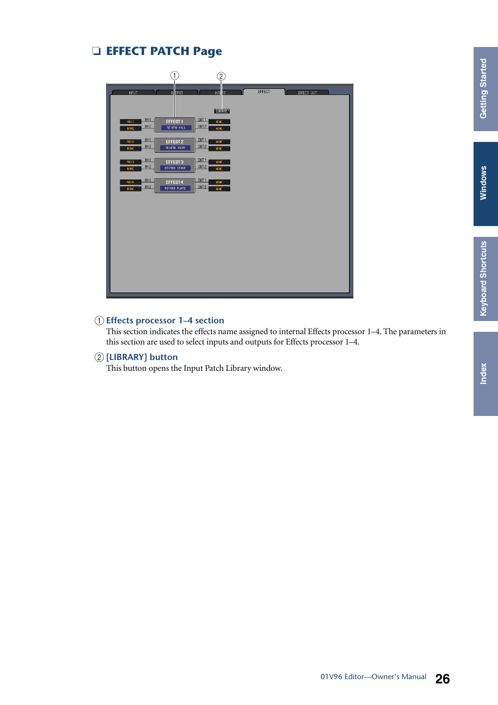#### <span id="page-25-0"></span>❏ **EFFECT PATCH Page**



#### <span id="page-25-1"></span>A **Effects processor 1–4 section**

This section indicates the effects name assigned to internal Effects processor 1–4. The parameters in this section are used to select inputs and outputs for Effects processor 1–4.

#### B **[LIBRARY] button**

<span id="page-25-2"></span>This button opens the Input Patch Library window.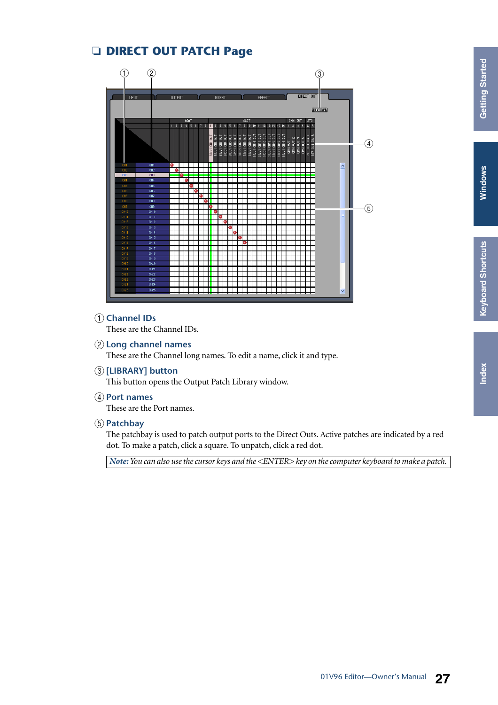#### <span id="page-26-1"></span>❏ **DIRECT OUT PATCH Page**



#### <span id="page-26-0"></span>A **Channel IDs**

<span id="page-26-3"></span>These are the Channel IDs.

B **Long channel names**

<span id="page-26-2"></span>These are the Channel long names. To edit a name, click it and type.

- C **[LIBRARY] button** This button opens the Output Patch Library window.
- <span id="page-26-5"></span>D **Port names**

<span id="page-26-4"></span>These are the Port names.

#### E **Patchbay**

The patchbay is used to patch output ports to the Direct Outs. Active patches are indicated by a red dot. To make a patch, click a square. To unpatch, click a red dot.

*Note: You can also use the cursor keys and the <ENTER> key on the computer keyboard to make a patch.*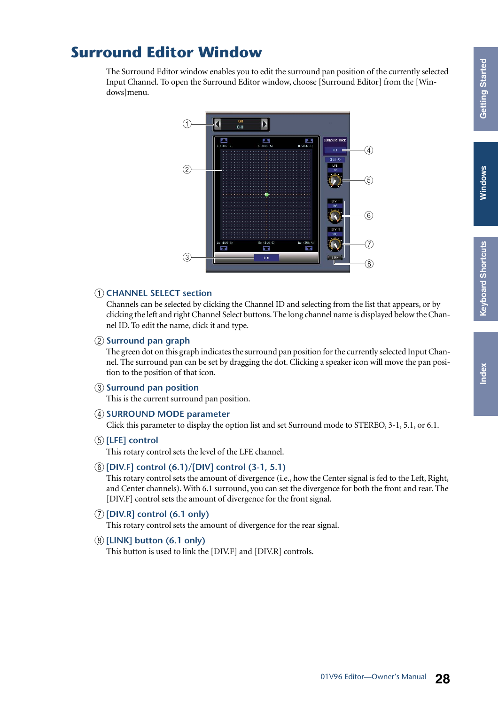# <span id="page-27-0"></span>**Surround Editor Window**

The Surround Editor window enables you to edit the surround pan position of the currently selected Input Channel. To open the Surround Editor window, choose [Surround Editor] from the [Windows]menu.

<span id="page-27-6"></span>

#### <span id="page-27-1"></span>A **CHANNEL SELECT section**

Channels can be selected by clicking the Channel ID and selecting from the list that appears, or by clicking the left and right Channel Select buttons. The long channel name is displayed below the Channel ID. To edit the name, click it and type.

#### <span id="page-27-8"></span>B **Surround pan graph**

The green dot on this graph indicates the surround pan position for the currently selected Input Channel. The surround pan can be set by dragging the dot. Clicking a speaker icon will move the pan position to the position of that icon.

#### <span id="page-27-9"></span>C **Surround pan position**

<span id="page-27-7"></span>This is the current surround pan position.

#### **(4) SURROUND MODE parameter**

<span id="page-27-4"></span>Click this parameter to display the option list and set Surround mode to STEREO, 3-1, 5.1, or 6.1.

E **[LFE] control**

This rotary control sets the level of the LFE channel.

#### F **[DIV.F] control (6.1)/[DIV] control (3-1, 5.1)**

<span id="page-27-3"></span><span id="page-27-2"></span>This rotary control sets the amount of divergence (i.e., how the Center signal is fed to the Left, Right, and Center channels). With 6.1 surround, you can set the divergence for both the front and rear. The [DIV.F] control sets the amount of divergence for the front signal.

G **[DIV.R] control (6.1 only)**

This rotary control sets the amount of divergence for the rear signal.

#### H **[LINK] button (6.1 only)**

<span id="page-27-5"></span>This button is used to link the [DIV.F] and [DIV.R] controls.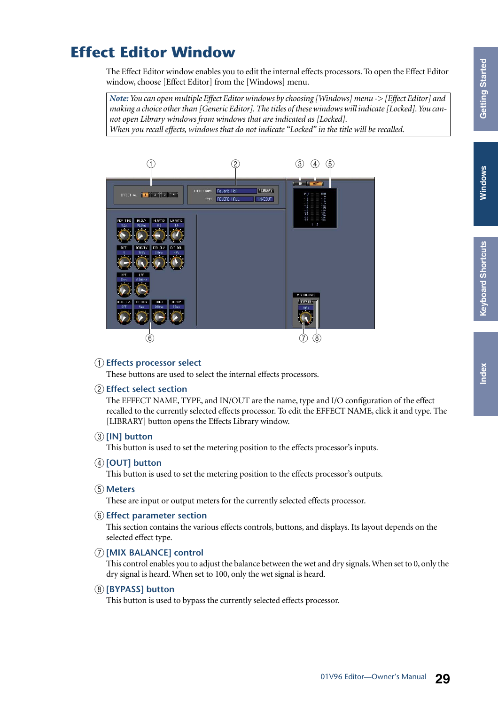# Windows Windows **Windows**

# <span id="page-28-3"></span><span id="page-28-0"></span>**Effect Editor Window**

The Effect Editor window enables you to edit the internal effects processors. To open the Effect Editor window, choose [Effect Editor] from the [Windows] menu.

*Note: You can open multiple Effect Editor windows by choosing [Windows] menu -> [Effect Editor] and making a choice other than [Generic Editor]. The titles of these windows will indicate [Locked]. You cannot open Library windows from windows that are indicated as [Locked]. When you recall effects, windows that do not indicate "Locked" in the title will be recalled.*



#### <span id="page-28-6"></span>A **Effects processor select**

<span id="page-28-4"></span>These buttons are used to select the internal effects processors.

#### B **Effect select section**

The EFFECT NAME, TYPE, and IN/OUT are the name, type and I/O configuration of the effect recalled to the currently selected effects processor. To edit the EFFECT NAME, click it and type. The [LIBRARY] button opens the Effects Library window.

#### C **[IN] button**

<span id="page-28-10"></span><span id="page-28-7"></span>This button is used to set the metering position to the effects processor's inputs.

#### D **[OUT] button**

<span id="page-28-8"></span>This button is used to set the metering position to the effects processor's outputs.

E **Meters**

<span id="page-28-5"></span>These are input or output meters for the currently selected effects processor.

#### **6** Effect parameter section

<span id="page-28-11"></span><span id="page-28-9"></span><span id="page-28-2"></span>This section contains the various effects controls, buttons, and displays. Its layout depends on the selected effect type.

#### G **[MIX BALANCE] control**

This control enables you to adjust the balance between the wet and dry signals. When set to 0, only the dry signal is heard. When set to 100, only the wet signal is heard.

#### H **[BYPASS] button**

<span id="page-28-1"></span>This button is used to bypass the currently selected effects processor.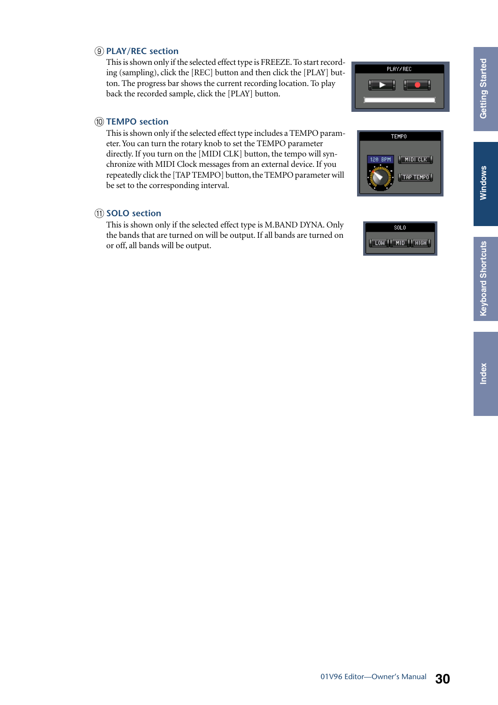# Windows **Windows Windows**

#### I **PLAY/REC section**

This is shown only if the selected effect type is FREEZE. To start recording (sampling), click the [REC] button and then click the [PLAY] button. The progress bar shows the current recording location. To play back the recorded sample, click the [PLAY] button.

#### **(10) TEMPO section**

This is shown only if the selected effect type includes a TEMPO parameter. You can turn the rotary knob to set the TEMPO parameter directly. If you turn on the [MIDI CLK] button, the tempo will synchronize with MIDI Clock messages from an external device. If you repeatedly click the [TAP TEMPO] button, the TEMPO parameter will be set to the corresponding interval.

#### **(11) SOLO section**

This is shown only if the selected effect type is M.BAND DYNA. Only the bands that are turned on will be output. If all bands are turned on or off, all bands will be output.



PLAY/REC

**TEMPO** 

120 BPM

 $M$  MIDI CLK

"TAP TEMPO"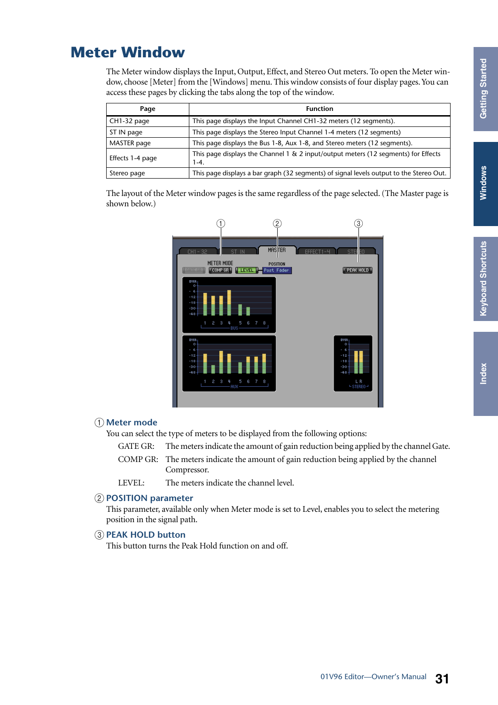# <span id="page-30-5"></span><span id="page-30-0"></span>**Meter Window**

The Meter window displays the Input, Output, Effect, and Stereo Out meters. To open the Meter window, choose [Meter] from the [Windows] menu. This window consists of four display pages. You can access these pages by clicking the tabs along the top of the window.

<span id="page-30-8"></span><span id="page-30-3"></span><span id="page-30-1"></span>

| Page             | <b>Function</b>                                                                              |
|------------------|----------------------------------------------------------------------------------------------|
| CH1-32 page      | This page displays the Input Channel CH1-32 meters (12 segments).                            |
| ST IN page       | This page displays the Stereo Input Channel 1-4 meters (12 segments)                         |
| MASTER page      | This page displays the Bus 1-8, Aux 1-8, and Stereo meters (12 segments).                    |
| Effects 1-4 page | This page displays the Channel 1 & 2 input/output meters (12 segments) for Effects<br>$1-4.$ |
| Stereo page      | This page displays a bar graph (32 segments) of signal levels output to the Stereo Out.      |

<span id="page-30-9"></span><span id="page-30-2"></span>The layout of the Meter window pages is the same regardless of the page selected. (The Master page is shown below.)



#### <span id="page-30-4"></span>A **Meter mode**

You can select the type of meters to be displayed from the following options:

| GATE GR: | The meters indicate the amount of gain reduction being applied by the channel Gate.    |
|----------|----------------------------------------------------------------------------------------|
|          | COMP GR: The meters indicate the amount of gain reduction being applied by the channel |
|          | Compressor.                                                                            |
| LEVEL:   | The meters indicate the channel level.                                                 |

#### <span id="page-30-7"></span>B **POSITION parameter**

This parameter, available only when Meter mode is set to Level, enables you to select the metering position in the signal path.

#### <span id="page-30-6"></span>**(3) PEAK HOLD button**

This button turns the Peak Hold function on and off.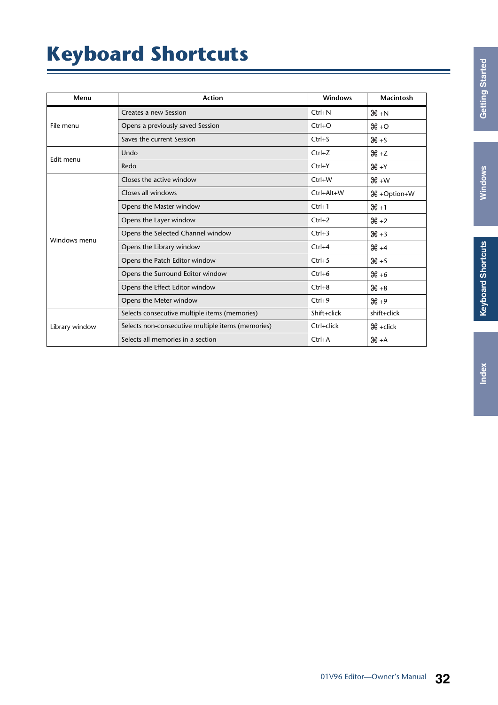# <span id="page-31-2"></span><span id="page-31-1"></span><span id="page-31-0"></span>**Keyboard Shortcuts**

| Menu           | <b>Action</b>                                     | <b>Windows</b> | <b>Macintosh</b>     |
|----------------|---------------------------------------------------|----------------|----------------------|
|                | Creates a new Session                             | $Ctrl + N$     | $H + N$              |
| File menu      | Opens a previously saved Session                  | $Ctrl + O$     | $\mathcal{H}$ +O     |
|                | Saves the current Session                         | $Ctrl + S$     | $H + S$              |
| Edit menu      | Undo                                              | $Ctrl + Z$     | $H + Z$              |
|                | Redo                                              | $Ctrl+Y$       | $H + Y$              |
|                | Closes the active window                          | $Ctrl+W$       | $H + W$              |
|                | Closes all windows                                | Ctrl+Alt+W     | <b>\</b> +Option+W   |
|                | Opens the Master window                           | $Ctrl + 1$     | $H + 1$              |
|                | Opens the Layer window                            | $Ctrl + 2$     | $H + 2$              |
| Windows menu   | Opens the Selected Channel window                 | $Ctrl + 3$     | $H + 3$              |
|                | Opens the Library window                          | $Ctrl + 4$     | $H + 4$              |
|                | Opens the Patch Editor window                     | $Ctrl + 5$     | $*5$                 |
|                | Opens the Surround Editor window                  | $Ctrl + 6$     | $46 + 6$             |
|                | Opens the Effect Editor window                    | $Ctrl + 8$     | $*8 + 8$             |
|                | Opens the Meter window                            | $Ctrl + 9$     | $*9$                 |
|                | Selects consecutive multiple items (memories)     | Shift+click    | shift+click          |
| Library window | Selects non-consecutive multiple items (memories) | Ctrl+click     | $\mathcal{H}$ +click |
|                | Selects all memories in a section                 | $Ctrl+A$       | $H + A$              |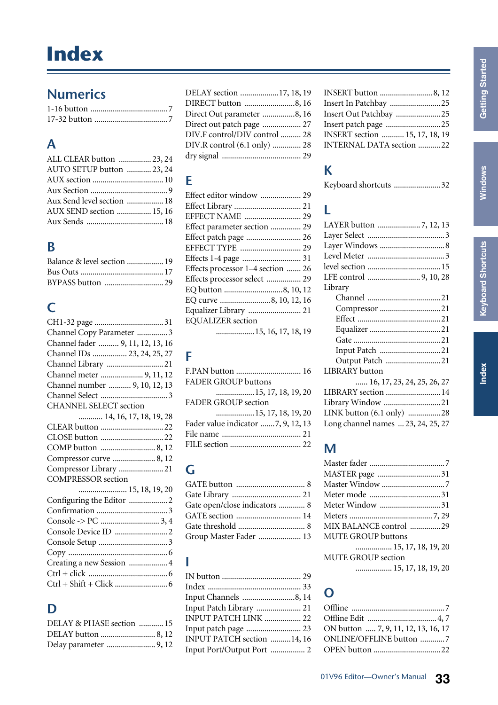# <span id="page-32-1"></span><span id="page-32-0"></span>**Numerics**

# **A**

| ALL CLEAR button  23, 24   |  |
|----------------------------|--|
| AUTO SETUP button  23, 24  |  |
|                            |  |
|                            |  |
| Aux Send level section  18 |  |
| AUX SEND section  15, 16   |  |
|                            |  |

### **B**

| Balance & level section  19 |  |
|-----------------------------|--|
|                             |  |
|                             |  |

# **C**

| Channel Copy Parameter  3        |
|----------------------------------|
| Channel fader  9, 11, 12, 13, 16 |
| Channel IDs  23, 24, 25, 27      |
| Channel Library  21              |
| Channel meter  9, 11, 12         |
| Channel number  9, 10, 12, 13    |
|                                  |
| CHANNEL SELECT section           |
| 14, 16, 17, 18, 19, 28           |
|                                  |
|                                  |
|                                  |
| Compressor curve  8, 12          |
| Compressor Library  21           |
| <b>COMPRESSOR</b> section        |
| 15, 18, 19, 20                   |
| Configuring the Editor  2        |
|                                  |
|                                  |
|                                  |
|                                  |
|                                  |
| Creating a new Session  4        |
|                                  |
|                                  |
|                                  |

# **D**

| DELAY & PHASE section  15 |  |
|---------------------------|--|
| DELAY button  8, 12       |  |
|                           |  |

| DELAY section 17, 18, 19      |  |
|-------------------------------|--|
|                               |  |
| DIRECT button 8, 16           |  |
| Direct Out parameter 8, 16    |  |
| Direct out patch page  27     |  |
| DIV.F control/DIV control  28 |  |
| DIV.R control (6.1 only)  28  |  |
|                               |  |

### **E**

| Effect editor window  29          |  |
|-----------------------------------|--|
|                                   |  |
| EFFECT NAME  29                   |  |
| Effect parameter section  29      |  |
|                                   |  |
|                                   |  |
|                                   |  |
| Effects processor 1–4 section  26 |  |
| Effects processor select  29      |  |
| EQ button 8, 10, 12               |  |
| EQ curve 8, 10, 12, 16            |  |
| Equalizer Library  21             |  |
| <b>EQUALIZER</b> section          |  |
| 15, 16, 17, 18, 19                |  |
|                                   |  |

# **F**

| <b>FADER GROUP buttons</b>         |  |
|------------------------------------|--|
|                                    |  |
| <b>FADER GROUP section</b>         |  |
|                                    |  |
| Fader value indicator 7, 9, 12, 13 |  |
|                                    |  |
|                                    |  |

# **G**

| Gate open/close indicators  8 |  |
|-------------------------------|--|
| GATE section  14              |  |
|                               |  |
| Group Master Fader  13        |  |

### **I**

| Input Channels 8, 14       |  |
|----------------------------|--|
| Input Patch Library  21    |  |
| INPUT PATCH LINK  22       |  |
| Input patch page  23       |  |
| INPUT PATCH section 14, 16 |  |
| Input Port/Output Port  2  |  |
|                            |  |

| Insert In Patchbay 25          |  |
|--------------------------------|--|
| Insert Out Patchbay 25         |  |
| Insert patch page 25           |  |
| INSERT section  15, 17, 18, 19 |  |
| INTERNAL DATA section 22       |  |
|                                |  |

# **K**

#### **L**

# **M**

| MASTER page 31            |  |
|---------------------------|--|
| Master Window 7           |  |
| Meter mode  31            |  |
| Meter Window 31           |  |
|                           |  |
| MIX BALANCE control 29    |  |
| MUTE GROUP buttons        |  |
| 15, 17, 18, 19, 20        |  |
| <b>MUTE GROUP section</b> |  |
| 15, 17, 18, 19, 20        |  |

### **O**

| ON button  7, 9, 11, 12, 13, 16, 17 |  |
|-------------------------------------|--|
| ONLINE/OFFLINE button 7             |  |
|                                     |  |
|                                     |  |